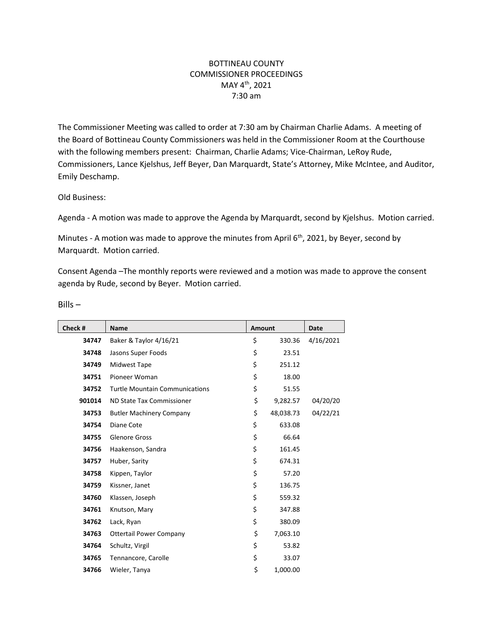## BOTTINEAU COUNTY COMMISSIONER PROCEEDINGS MAY 4th, 2021 7:30 am

The Commissioner Meeting was called to order at 7:30 am by Chairman Charlie Adams. A meeting of the Board of Bottineau County Commissioners was held in the Commissioner Room at the Courthouse with the following members present: Chairman, Charlie Adams; Vice-Chairman, LeRoy Rude, Commissioners, Lance Kjelshus, Jeff Beyer, Dan Marquardt, State's Attorney, Mike McIntee, and Auditor, Emily Deschamp.

## Old Business:

Agenda - A motion was made to approve the Agenda by Marquardt, second by Kjelshus. Motion carried.

Minutes - A motion was made to approve the minutes from April 6<sup>th</sup>, 2021, by Beyer, second by Marquardt. Motion carried.

Consent Agenda –The monthly reports were reviewed and a motion was made to approve the consent agenda by Rude, second by Beyer. Motion carried.

| Check # | Name                                  | <b>Amount</b> |           | Date      |
|---------|---------------------------------------|---------------|-----------|-----------|
| 34747   | Baker & Taylor 4/16/21                | \$            | 330.36    | 4/16/2021 |
| 34748   | Jasons Super Foods                    | \$            | 23.51     |           |
| 34749   | Midwest Tape                          | \$            | 251.12    |           |
| 34751   | Pioneer Woman                         | \$            | 18.00     |           |
| 34752   | <b>Turtle Mountain Communications</b> | \$            | 51.55     |           |
| 901014  | ND State Tax Commissioner             | \$            | 9,282.57  | 04/20/20  |
| 34753   | <b>Butler Machinery Company</b>       | \$            | 48,038.73 | 04/22/21  |
| 34754   | Diane Cote                            | \$            | 633.08    |           |
| 34755   | <b>Glenore Gross</b>                  | \$            | 66.64     |           |
| 34756   | Haakenson, Sandra                     | \$            | 161.45    |           |
| 34757   | Huber, Sarity                         | \$            | 674.31    |           |
| 34758   | Kippen, Taylor                        | \$            | 57.20     |           |
| 34759   | Kissner, Janet                        | \$            | 136.75    |           |
| 34760   | Klassen, Joseph                       | \$            | 559.32    |           |
| 34761   | Knutson, Mary                         | \$            | 347.88    |           |
| 34762   | Lack, Ryan                            | \$            | 380.09    |           |
| 34763   | <b>Ottertail Power Company</b>        | \$            | 7,063.10  |           |
| 34764   | Schultz, Virgil                       | \$            | 53.82     |           |
| 34765   | Tennancore, Carolle                   | \$            | 33.07     |           |
| 34766   | Wieler, Tanya                         | \$            | 1,000.00  |           |

Bills –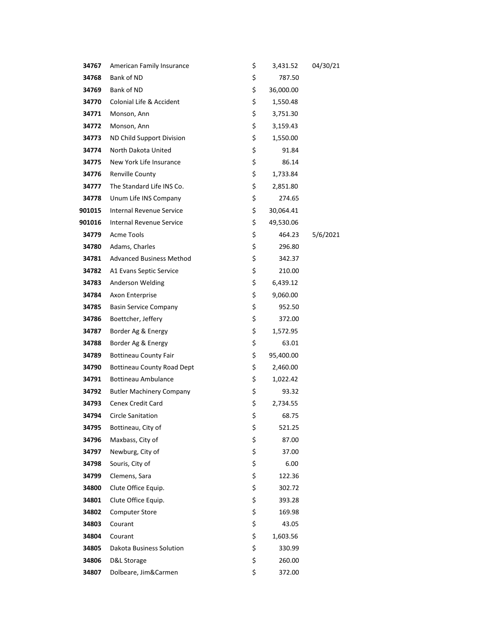| 34767  | American Family Insurance         | \$<br>3,431.52  | 04/30/21 |
|--------|-----------------------------------|-----------------|----------|
| 34768  | Bank of ND                        | \$<br>787.50    |          |
| 34769  | Bank of ND                        | \$<br>36,000.00 |          |
| 34770  | Colonial Life & Accident          | \$<br>1,550.48  |          |
| 34771  | Monson, Ann                       | \$<br>3,751.30  |          |
| 34772  | Monson, Ann                       | \$<br>3,159.43  |          |
| 34773  | ND Child Support Division         | \$<br>1,550.00  |          |
| 34774  | North Dakota United               | \$<br>91.84     |          |
| 34775  | New York Life Insurance           | \$<br>86.14     |          |
| 34776  | Renville County                   | \$<br>1,733.84  |          |
| 34777  | The Standard Life INS Co.         | \$<br>2,851.80  |          |
| 34778  | Unum Life INS Company             | \$<br>274.65    |          |
| 901015 | Internal Revenue Service          | \$<br>30,064.41 |          |
| 901016 | <b>Internal Revenue Service</b>   | \$<br>49,530.06 |          |
| 34779  | Acme Tools                        | \$<br>464.23    | 5/6/2021 |
| 34780  | Adams, Charles                    | \$<br>296.80    |          |
| 34781  | <b>Advanced Business Method</b>   | \$<br>342.37    |          |
| 34782  | A1 Evans Septic Service           | \$<br>210.00    |          |
| 34783  | Anderson Welding                  | \$<br>6,439.12  |          |
| 34784  | Axon Enterprise                   | \$<br>9,060.00  |          |
| 34785  | <b>Basin Service Company</b>      | \$<br>952.50    |          |
| 34786  | Boettcher, Jeffery                | \$<br>372.00    |          |
| 34787  | Border Ag & Energy                | \$<br>1,572.95  |          |
| 34788  | Border Ag & Energy                | \$<br>63.01     |          |
| 34789  | <b>Bottineau County Fair</b>      | \$<br>95,400.00 |          |
| 34790  | <b>Bottineau County Road Dept</b> | \$<br>2,460.00  |          |
| 34791  | <b>Bottineau Ambulance</b>        | \$<br>1,022.42  |          |
| 34792  | <b>Butler Machinery Company</b>   | \$<br>93.32     |          |
| 34793  | <b>Cenex Credit Card</b>          | \$<br>2,734.55  |          |
| 34794  | <b>Circle Sanitation</b>          | \$<br>68.75     |          |
| 34795  | Bottineau, City of                | \$<br>521.25    |          |
| 34796  | Maxbass, City of                  | \$<br>87.00     |          |
| 34797  | Newburg, City of                  | \$<br>37.00     |          |
| 34798  | Souris, City of                   | \$<br>6.00      |          |
| 34799  | Clemens, Sara                     | \$<br>122.36    |          |
| 34800  | Clute Office Equip.               | \$<br>302.72    |          |
| 34801  | Clute Office Equip.               | \$<br>393.28    |          |
| 34802  | <b>Computer Store</b>             | \$<br>169.98    |          |
| 34803  | Courant                           | \$<br>43.05     |          |
| 34804  | Courant                           | \$<br>1,603.56  |          |
| 34805  | Dakota Business Solution          | \$<br>330.99    |          |
| 34806  | D&L Storage                       | \$<br>260.00    |          |
| 34807  | Dolbeare, Jim&Carmen              | \$<br>372.00    |          |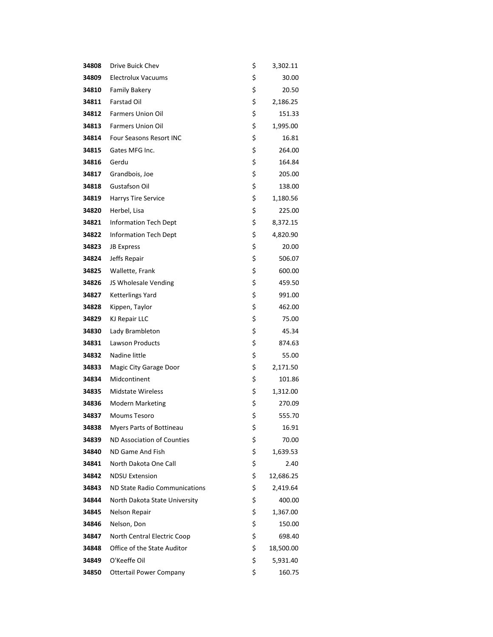| 34808 | Drive Buick Chev               | \$<br>3,302.11  |
|-------|--------------------------------|-----------------|
| 34809 | <b>Electrolux Vacuums</b>      | \$<br>30.00     |
| 34810 | <b>Family Bakery</b>           | \$<br>20.50     |
| 34811 | <b>Farstad Oil</b>             | \$<br>2,186.25  |
| 34812 | <b>Farmers Union Oil</b>       | \$<br>151.33    |
| 34813 | <b>Farmers Union Oil</b>       | \$<br>1,995.00  |
| 34814 | Four Seasons Resort INC        | \$<br>16.81     |
| 34815 | Gates MFG Inc.                 | \$<br>264.00    |
| 34816 | Gerdu                          | \$<br>164.84    |
| 34817 | Grandbois, Joe                 | \$<br>205.00    |
| 34818 | Gustafson Oil                  | \$<br>138.00    |
| 34819 | Harrys Tire Service            | \$<br>1,180.56  |
| 34820 | Herbel, Lisa                   | \$<br>225.00    |
| 34821 | <b>Information Tech Dept</b>   | \$<br>8,372.15  |
| 34822 | <b>Information Tech Dept</b>   | \$<br>4,820.90  |
| 34823 | <b>JB Express</b>              | \$<br>20.00     |
| 34824 | Jeffs Repair                   | \$<br>506.07    |
| 34825 | Wallette, Frank                | \$<br>600.00    |
| 34826 | JS Wholesale Vending           | \$<br>459.50    |
| 34827 | Ketterlings Yard               | \$<br>991.00    |
| 34828 | Kippen, Taylor                 | \$<br>462.00    |
| 34829 | <b>KJ Repair LLC</b>           | \$<br>75.00     |
| 34830 | Lady Brambleton                | \$<br>45.34     |
| 34831 | Lawson Products                | \$<br>874.63    |
| 34832 | Nadine little                  | \$<br>55.00     |
| 34833 | Magic City Garage Door         | \$<br>2,171.50  |
| 34834 | Midcontinent                   | \$<br>101.86    |
| 34835 | <b>Midstate Wireless</b>       | \$<br>1,312.00  |
| 34836 | <b>Modern Marketing</b>        | \$<br>270.09    |
| 34837 | <b>Moums Tesoro</b>            | \$<br>555.70    |
| 34838 | Myers Parts of Bottineau       | \$<br>16.91     |
| 34839 | ND Association of Counties     | \$<br>70.00     |
| 34840 | ND Game And Fish               | \$<br>1,639.53  |
| 34841 | North Dakota One Call          | \$<br>2.40      |
| 34842 | <b>NDSU Extension</b>          | \$<br>12,686.25 |
| 34843 | ND State Radio Communications  | \$<br>2,419.64  |
| 34844 | North Dakota State University  | \$<br>400.00    |
| 34845 | Nelson Repair                  | \$<br>1,367.00  |
| 34846 | Nelson, Don                    | \$<br>150.00    |
| 34847 | North Central Electric Coop    | \$<br>698.40    |
| 34848 | Office of the State Auditor    | \$<br>18,500.00 |
| 34849 | O'Keeffe Oil                   | \$<br>5,931.40  |
| 34850 | <b>Ottertail Power Company</b> | \$<br>160.75    |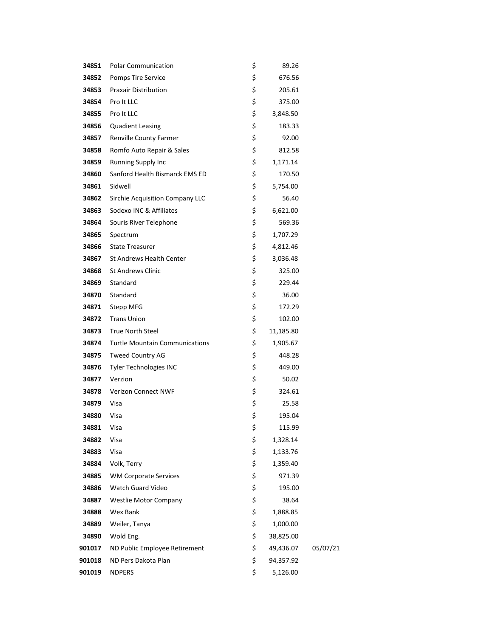| 34851  | <b>Polar Communication</b>            | \$<br>89.26     |          |
|--------|---------------------------------------|-----------------|----------|
| 34852  | Pomps Tire Service                    | \$<br>676.56    |          |
| 34853  | <b>Praxair Distribution</b>           | \$<br>205.61    |          |
| 34854  | Pro It LLC                            | \$<br>375.00    |          |
| 34855  | Pro It LLC                            | \$<br>3,848.50  |          |
| 34856  | <b>Quadient Leasing</b>               | \$<br>183.33    |          |
| 34857  | Renville County Farmer                | \$<br>92.00     |          |
| 34858  | Romfo Auto Repair & Sales             | \$<br>812.58    |          |
| 34859  | <b>Running Supply Inc</b>             | \$<br>1,171.14  |          |
| 34860  | Sanford Health Bismarck EMS ED        | \$<br>170.50    |          |
| 34861  | Sidwell                               | \$<br>5,754.00  |          |
| 34862  | Sirchie Acquisition Company LLC       | \$<br>56.40     |          |
| 34863  | Sodexo INC & Affiliates               | \$<br>6,621.00  |          |
| 34864  | Souris River Telephone                | \$<br>569.36    |          |
| 34865  | Spectrum                              | \$<br>1,707.29  |          |
| 34866  | <b>State Treasurer</b>                | \$<br>4,812.46  |          |
| 34867  | <b>St Andrews Health Center</b>       | \$<br>3,036.48  |          |
| 34868  | <b>St Andrews Clinic</b>              | \$<br>325.00    |          |
| 34869  | Standard                              | \$<br>229.44    |          |
| 34870  | Standard                              | \$<br>36.00     |          |
| 34871  | Stepp MFG                             | \$<br>172.29    |          |
| 34872  | <b>Trans Union</b>                    | \$<br>102.00    |          |
| 34873  | <b>True North Steel</b>               | \$<br>11,185.80 |          |
| 34874  | <b>Turtle Mountain Communications</b> | \$<br>1,905.67  |          |
| 34875  | <b>Tweed Country AG</b>               | \$<br>448.28    |          |
| 34876  | Tyler Technologies INC                | \$<br>449.00    |          |
| 34877  | Verzion                               | \$<br>50.02     |          |
| 34878  | <b>Verizon Connect NWF</b>            | \$<br>324.61    |          |
| 34879  | Visa                                  | \$<br>25.58     |          |
| 34880  | Visa                                  | \$<br>195.04    |          |
| 34881  | Visa                                  | \$<br>115.99    |          |
| 34882  | Visa                                  | \$<br>1,328.14  |          |
| 34883  | Visa                                  | \$<br>1,133.76  |          |
| 34884  | Volk, Terry                           | \$<br>1,359.40  |          |
| 34885  | <b>WM Corporate Services</b>          | \$<br>971.39    |          |
| 34886  | <b>Watch Guard Video</b>              | \$<br>195.00    |          |
| 34887  | <b>Westlie Motor Company</b>          | \$<br>38.64     |          |
| 34888  | Wex Bank                              | \$<br>1,888.85  |          |
| 34889  | Weiler, Tanya                         | \$<br>1,000.00  |          |
| 34890  | Wold Eng.                             | \$<br>38,825.00 |          |
| 901017 | ND Public Employee Retirement         | \$<br>49,436.07 | 05/07/21 |
| 901018 | ND Pers Dakota Plan                   | \$<br>94,357.92 |          |
| 901019 | <b>NDPERS</b>                         | \$<br>5,126.00  |          |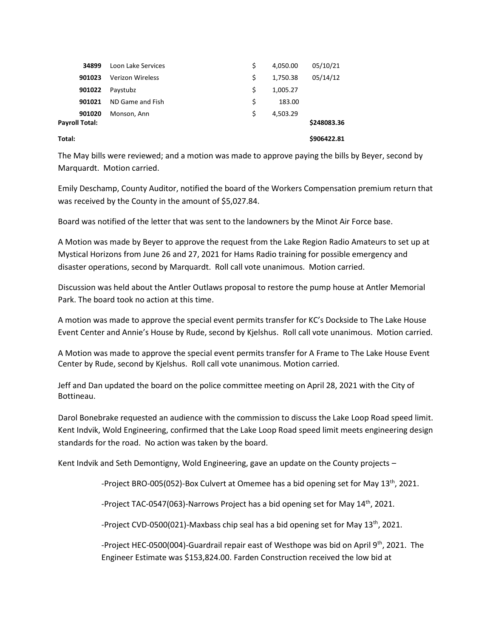| 34899                    | Loon Lake Services      | Ŝ. | 4,050.00 | 05/10/21    |
|--------------------------|-------------------------|----|----------|-------------|
| 901023                   | <b>Verizon Wireless</b> | \$ | 1,750.38 | 05/14/12    |
| 901022                   | Paystubz                | \$ | 1,005.27 |             |
| 901021                   | ND Game and Fish        | \$ | 183.00   |             |
| 901020<br>Payroll Total: | Monson, Ann             | Ś  | 4,503.29 | \$248083.36 |
| Total:                   |                         |    |          | \$906422.81 |

The May bills were reviewed; and a motion was made to approve paying the bills by Beyer, second by Marquardt. Motion carried.

Emily Deschamp, County Auditor, notified the board of the Workers Compensation premium return that was received by the County in the amount of \$5,027.84.

Board was notified of the letter that was sent to the landowners by the Minot Air Force base.

A Motion was made by Beyer to approve the request from the Lake Region Radio Amateurs to set up at Mystical Horizons from June 26 and 27, 2021 for Hams Radio training for possible emergency and disaster operations, second by Marquardt. Roll call vote unanimous. Motion carried.

Discussion was held about the Antler Outlaws proposal to restore the pump house at Antler Memorial Park. The board took no action at this time.

A motion was made to approve the special event permits transfer for KC's Dockside to The Lake House Event Center and Annie's House by Rude, second by Kjelshus. Roll call vote unanimous. Motion carried.

A Motion was made to approve the special event permits transfer for A Frame to The Lake House Event Center by Rude, second by Kjelshus. Roll call vote unanimous. Motion carried.

Jeff and Dan updated the board on the police committee meeting on April 28, 2021 with the City of Bottineau.

Darol Bonebrake requested an audience with the commission to discuss the Lake Loop Road speed limit. Kent Indvik, Wold Engineering, confirmed that the Lake Loop Road speed limit meets engineering design standards for the road. No action was taken by the board.

Kent Indvik and Seth Demontigny, Wold Engineering, gave an update on the County projects –

*-*Project BRO-005(052)-Box Culvert at Omemee has a bid opening set for May 13th, 2021.

-Project TAC-0547(063)-Narrows Project has a bid opening set for May 14<sup>th</sup>, 2021.

-Project CVD-0500(021)-Maxbass chip seal has a bid opening set for May  $13<sup>th</sup>$ , 2021.

-Project HEC-0500(004)-Guardrail repair east of Westhope was bid on April 9th, 2021. The Engineer Estimate was \$153,824.00. Farden Construction received the low bid at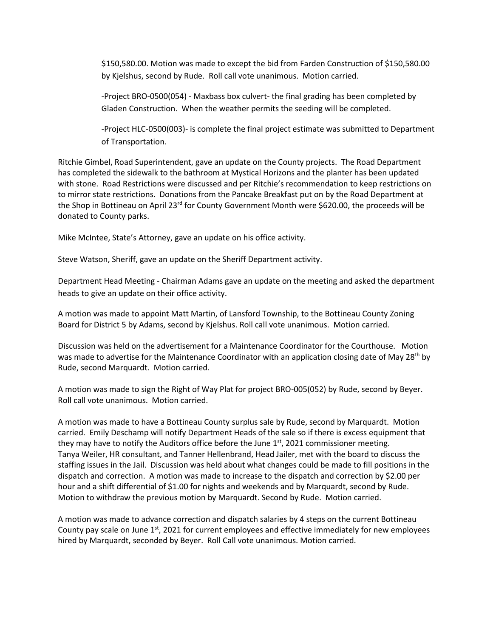\$150,580.00. Motion was made to except the bid from Farden Construction of \$150,580.00 by Kjelshus, second by Rude. Roll call vote unanimous. Motion carried.

-Project BRO-0500(054) - Maxbass box culvert- the final grading has been completed by Gladen Construction. When the weather permits the seeding will be completed.

-Project HLC-0500(003)- is complete the final project estimate was submitted to Department of Transportation.

Ritchie Gimbel, Road Superintendent, gave an update on the County projects. The Road Department has completed the sidewalk to the bathroom at Mystical Horizons and the planter has been updated with stone. Road Restrictions were discussed and per Ritchie's recommendation to keep restrictions on to mirror state restrictions. Donations from the Pancake Breakfast put on by the Road Department at the Shop in Bottineau on April 23<sup>rd</sup> for County Government Month were \$620.00, the proceeds will be donated to County parks.

Mike McIntee, State's Attorney, gave an update on his office activity.

Steve Watson, Sheriff, gave an update on the Sheriff Department activity.

Department Head Meeting - Chairman Adams gave an update on the meeting and asked the department heads to give an update on their office activity.

A motion was made to appoint Matt Martin, of Lansford Township, to the Bottineau County Zoning Board for District 5 by Adams, second by Kjelshus. Roll call vote unanimous. Motion carried.

Discussion was held on the advertisement for a Maintenance Coordinator for the Courthouse. Motion was made to advertise for the Maintenance Coordinator with an application closing date of May 28<sup>th</sup> by Rude, second Marquardt. Motion carried.

A motion was made to sign the Right of Way Plat for project BRO-005(052) by Rude, second by Beyer. Roll call vote unanimous. Motion carried.

A motion was made to have a Bottineau County surplus sale by Rude, second by Marquardt. Motion carried. Emily Deschamp will notify Department Heads of the sale so if there is excess equipment that they may have to notify the Auditors office before the June  $1<sup>st</sup>$ , 2021 commissioner meeting. Tanya Weiler, HR consultant, and Tanner Hellenbrand, Head Jailer, met with the board to discuss the staffing issues in the Jail. Discussion was held about what changes could be made to fill positions in the dispatch and correction. A motion was made to increase to the dispatch and correction by \$2.00 per hour and a shift differential of \$1.00 for nights and weekends and by Marquardt, second by Rude. Motion to withdraw the previous motion by Marquardt. Second by Rude. Motion carried.

A motion was made to advance correction and dispatch salaries by 4 steps on the current Bottineau County pay scale on June  $1^{st}$ , 2021 for current employees and effective immediately for new employees hired by Marquardt, seconded by Beyer. Roll Call vote unanimous. Motion carried.